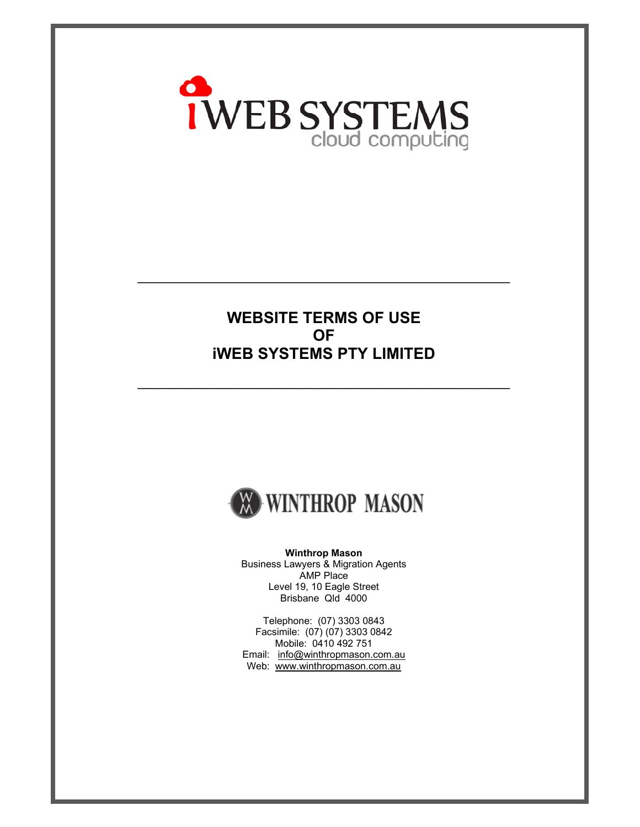

## **WEBSITE TERMS OF USE OF iWEB SYSTEMS PTY LIMITED**

**\_\_\_\_\_\_\_\_\_\_\_\_\_\_\_\_\_\_\_\_\_\_\_\_\_\_\_\_\_\_\_\_\_\_\_\_\_\_\_\_\_\_\_\_\_\_\_\_\_\_\_\_\_\_\_\_\_\_\_\_\_\_\_\_\_\_\_\_\_\_** 

**\_\_\_\_\_\_\_\_\_\_\_\_\_\_\_\_\_\_\_\_\_\_\_\_\_\_\_\_\_\_\_\_\_\_\_\_\_\_\_\_\_\_\_\_\_\_\_\_\_\_\_\_\_\_\_\_\_\_\_\_\_\_\_\_\_\_\_\_\_\_** 



**Winthrop Mason**  Business Lawyers & Migration Agents AMP Place Level 19, 10 Eagle Street Brisbane Qld 4000

Telephone: (07) 3303 0843 Facsimile: (07) (07) 3303 0842 Mobile: 0410 492 751 Email: info@winthropmason.com.au Web: www.winthropmason.com.au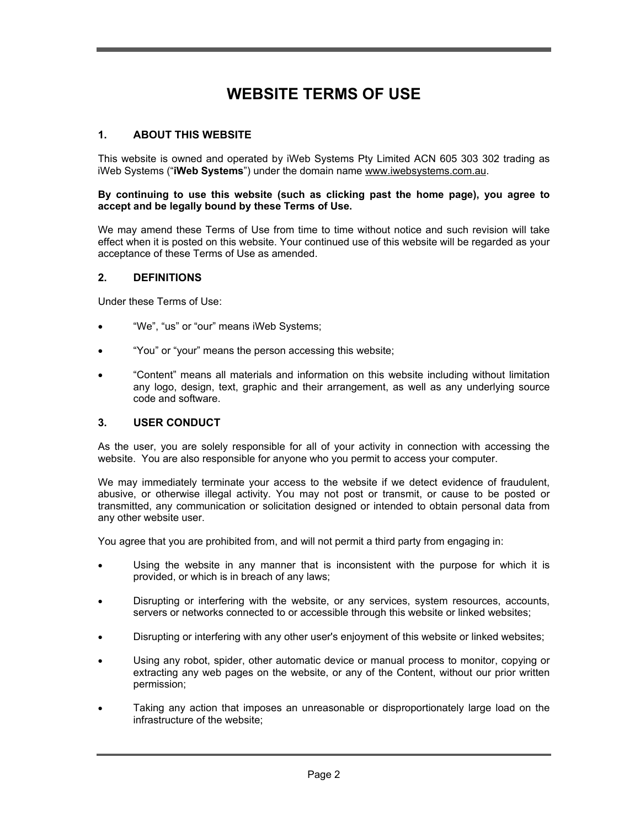# **WEBSITE TERMS OF USE**

#### **1. ABOUT THIS WEBSITE**

This website is owned and operated by iWeb Systems Pty Limited ACN 605 303 302 trading as iWeb Systems ("**iWeb Systems**") under the domain name www.iwebsystems.com.au.

#### **By continuing to use this website (such as clicking past the home page), you agree to accept and be legally bound by these Terms of Use.**

We may amend these Terms of Use from time to time without notice and such revision will take effect when it is posted on this website. Your continued use of this website will be regarded as your acceptance of these Terms of Use as amended.

#### **2. DEFINITIONS**

Under these Terms of Use:

- "We", "us" or "our" means iWeb Systems;
- "You" or "your" means the person accessing this website;
- "Content" means all materials and information on this website including without limitation any logo, design, text, graphic and their arrangement, as well as any underlying source code and software.

#### **3. USER CONDUCT**

As the user, you are solely responsible for all of your activity in connection with accessing the website. You are also responsible for anyone who you permit to access your computer.

We may immediately terminate your access to the website if we detect evidence of fraudulent, abusive, or otherwise illegal activity. You may not post or transmit, or cause to be posted or transmitted, any communication or solicitation designed or intended to obtain personal data from any other website user.

You agree that you are prohibited from, and will not permit a third party from engaging in:

- Using the website in any manner that is inconsistent with the purpose for which it is provided, or which is in breach of any laws;
- Disrupting or interfering with the website, or any services, system resources, accounts, servers or networks connected to or accessible through this website or linked websites;
- Disrupting or interfering with any other user's enjoyment of this website or linked websites;
- Using any robot, spider, other automatic device or manual process to monitor, copying or extracting any web pages on the website, or any of the Content, without our prior written permission;
- Taking any action that imposes an unreasonable or disproportionately large load on the infrastructure of the website;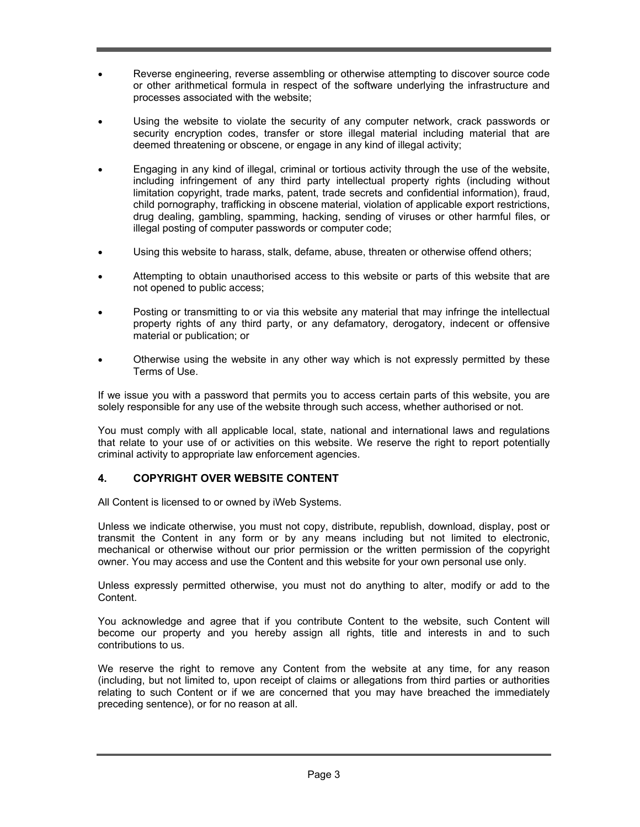- Reverse engineering, reverse assembling or otherwise attempting to discover source code or other arithmetical formula in respect of the software underlying the infrastructure and processes associated with the website;
- Using the website to violate the security of any computer network, crack passwords or security encryption codes, transfer or store illegal material including material that are deemed threatening or obscene, or engage in any kind of illegal activity;
- Engaging in any kind of illegal, criminal or tortious activity through the use of the website, including infringement of any third party intellectual property rights (including without limitation copyright, trade marks, patent, trade secrets and confidential information), fraud, child pornography, trafficking in obscene material, violation of applicable export restrictions, drug dealing, gambling, spamming, hacking, sending of viruses or other harmful files, or illegal posting of computer passwords or computer code;
- Using this website to harass, stalk, defame, abuse, threaten or otherwise offend others;
- Attempting to obtain unauthorised access to this website or parts of this website that are not opened to public access;
- Posting or transmitting to or via this website any material that may infringe the intellectual property rights of any third party, or any defamatory, derogatory, indecent or offensive material or publication; or
- Otherwise using the website in any other way which is not expressly permitted by these Terms of Use.

If we issue you with a password that permits you to access certain parts of this website, you are solely responsible for any use of the website through such access, whether authorised or not.

You must comply with all applicable local, state, national and international laws and regulations that relate to your use of or activities on this website. We reserve the right to report potentially criminal activity to appropriate law enforcement agencies.

## **4. COPYRIGHT OVER WEBSITE CONTENT**

All Content is licensed to or owned by iWeb Systems.

Unless we indicate otherwise, you must not copy, distribute, republish, download, display, post or transmit the Content in any form or by any means including but not limited to electronic, mechanical or otherwise without our prior permission or the written permission of the copyright owner. You may access and use the Content and this website for your own personal use only.

Unless expressly permitted otherwise, you must not do anything to alter, modify or add to the Content.

You acknowledge and agree that if you contribute Content to the website, such Content will become our property and you hereby assign all rights, title and interests in and to such contributions to us.

We reserve the right to remove any Content from the website at any time, for any reason (including, but not limited to, upon receipt of claims or allegations from third parties or authorities relating to such Content or if we are concerned that you may have breached the immediately preceding sentence), or for no reason at all.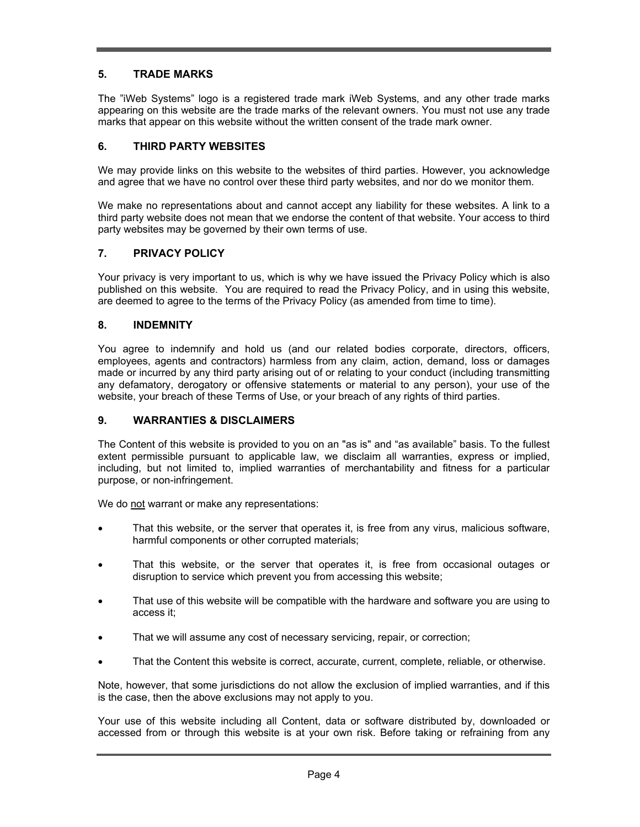## **5. TRADE MARKS**

The "iWeb Systems" logo is a registered trade mark iWeb Systems, and any other trade marks appearing on this website are the trade marks of the relevant owners. You must not use any trade marks that appear on this website without the written consent of the trade mark owner.

### **6. THIRD PARTY WEBSITES**

We may provide links on this website to the websites of third parties. However, you acknowledge and agree that we have no control over these third party websites, and nor do we monitor them.

We make no representations about and cannot accept any liability for these websites. A link to a third party website does not mean that we endorse the content of that website. Your access to third party websites may be governed by their own terms of use.

### **7. PRIVACY POLICY**

Your privacy is very important to us, which is why we have issued the Privacy Policy which is also published on this website. You are required to read the Privacy Policy, and in using this website, are deemed to agree to the terms of the Privacy Policy (as amended from time to time).

#### **8. INDEMNITY**

You agree to indemnify and hold us (and our related bodies corporate, directors, officers, employees, agents and contractors) harmless from any claim, action, demand, loss or damages made or incurred by any third party arising out of or relating to your conduct (including transmitting any defamatory, derogatory or offensive statements or material to any person), your use of the website, your breach of these Terms of Use, or your breach of any rights of third parties.

#### **9. WARRANTIES & DISCLAIMERS**

The Content of this website is provided to you on an "as is" and "as available" basis. To the fullest extent permissible pursuant to applicable law, we disclaim all warranties, express or implied, including, but not limited to, implied warranties of merchantability and fitness for a particular purpose, or non-infringement.

We do not warrant or make any representations:

- That this website, or the server that operates it, is free from any virus, malicious software, harmful components or other corrupted materials;
- That this website, or the server that operates it, is free from occasional outages or disruption to service which prevent you from accessing this website;
- That use of this website will be compatible with the hardware and software you are using to access it;
- That we will assume any cost of necessary servicing, repair, or correction;
- That the Content this website is correct, accurate, current, complete, reliable, or otherwise.

Note, however, that some jurisdictions do not allow the exclusion of implied warranties, and if this is the case, then the above exclusions may not apply to you.

Your use of this website including all Content, data or software distributed by, downloaded or accessed from or through this website is at your own risk. Before taking or refraining from any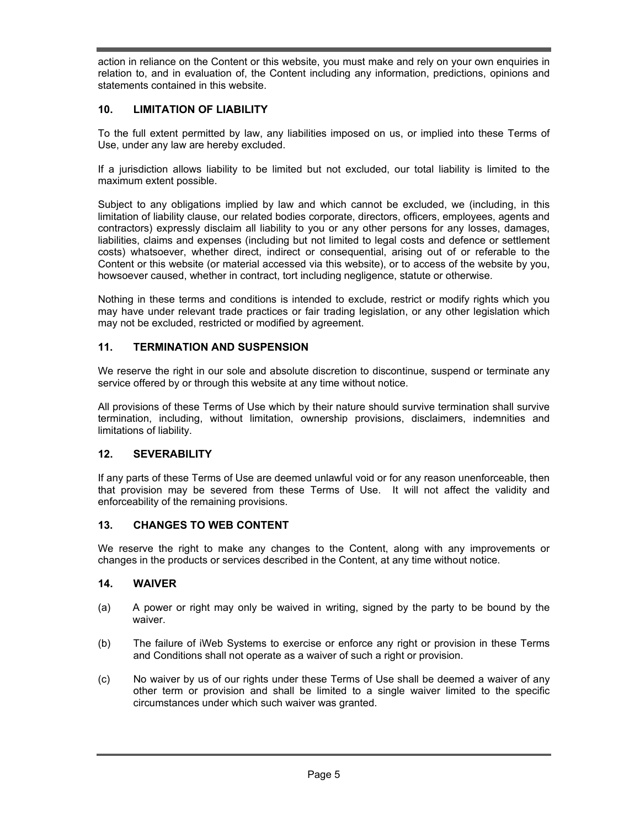action in reliance on the Content or this website, you must make and rely on your own enquiries in relation to, and in evaluation of, the Content including any information, predictions, opinions and statements contained in this website.

## **10. LIMITATION OF LIABILITY**

To the full extent permitted by law, any liabilities imposed on us, or implied into these Terms of Use, under any law are hereby excluded.

If a jurisdiction allows liability to be limited but not excluded, our total liability is limited to the maximum extent possible.

Subject to any obligations implied by law and which cannot be excluded, we (including, in this limitation of liability clause, our related bodies corporate, directors, officers, employees, agents and contractors) expressly disclaim all liability to you or any other persons for any losses, damages, liabilities, claims and expenses (including but not limited to legal costs and defence or settlement costs) whatsoever, whether direct, indirect or consequential, arising out of or referable to the Content or this website (or material accessed via this website), or to access of the website by you, howsoever caused, whether in contract, tort including negligence, statute or otherwise.

Nothing in these terms and conditions is intended to exclude, restrict or modify rights which you may have under relevant trade practices or fair trading legislation, or any other legislation which may not be excluded, restricted or modified by agreement.

## **11. TERMINATION AND SUSPENSION**

We reserve the right in our sole and absolute discretion to discontinue, suspend or terminate any service offered by or through this website at any time without notice.

All provisions of these Terms of Use which by their nature should survive termination shall survive termination, including, without limitation, ownership provisions, disclaimers, indemnities and limitations of liability.

## **12. SEVERABILITY**

If any parts of these Terms of Use are deemed unlawful void or for any reason unenforceable, then that provision may be severed from these Terms of Use. It will not affect the validity and enforceability of the remaining provisions.

#### **13. CHANGES TO WEB CONTENT**

We reserve the right to make any changes to the Content, along with any improvements or changes in the products or services described in the Content, at any time without notice.

#### **14. WAIVER**

- (a) A power or right may only be waived in writing, signed by the party to be bound by the waiver.
- (b) The failure of iWeb Systems to exercise or enforce any right or provision in these Terms and Conditions shall not operate as a waiver of such a right or provision.
- (c) No waiver by us of our rights under these Terms of Use shall be deemed a waiver of any other term or provision and shall be limited to a single waiver limited to the specific circumstances under which such waiver was granted.